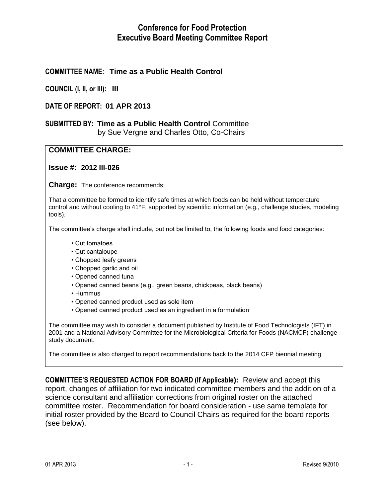# **Conference for Food Protection Executive Board Meeting Committee Report**

# **COMMITTEE NAME: Time as a Public Health Control**

**COUNCIL (I, II, or III): III**

### **DATE OF REPORT: 01 APR 2013**

#### **SUBMITTED BY: Time as a Public Health Control** Committee by Sue Vergne and Charles Otto, Co-Chairs

# **COMMITTEE CHARGE:**

**Issue #: 2012 III-026**

**Charge:** The conference recommends:

That a committee be formed to identify safe times at which foods can be held without temperature control and without cooling to 41°F, supported by scientific information (e.g., challenge studies, modeling tools).

The committee's charge shall include, but not be limited to, the following foods and food categories:

- Cut tomatoes
- Cut cantaloupe
- Chopped leafy greens
- Chopped garlic and oil
- Opened canned tuna
- Opened canned beans (e.g., green beans, chickpeas, black beans)
- Hummus
- Opened canned product used as sole item
- Opened canned product used as an ingredient in a formulation

The committee may wish to consider a document published by Institute of Food Technologists (IFT) in 2001 and a National Advisory Committee for the Microbiological Criteria for Foods (NACMCF) challenge study document.

The committee is also charged to report recommendations back to the 2014 CFP biennial meeting.

**COMMITTEE'S REQUESTED ACTION FOR BOARD (If Applicable):** Review and accept this report, changes of affiliation for two indicated committee members and the addition of a science consultant and affiliation corrections from original roster on the attached committee roster.Recommendation for board consideration - use same template for initial roster provided by the Board to Council Chairs as required for the board reports (see below).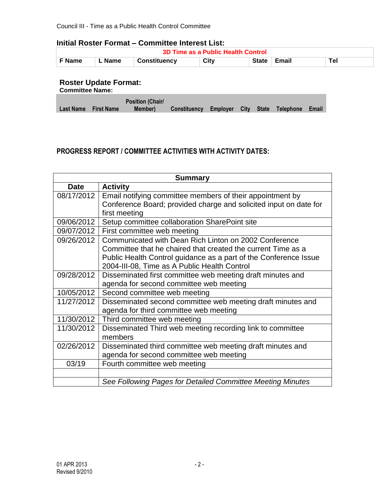#### **Initial Roster Format – Committee Interest List:**

| <b>3D Time as a Public Health Control</b> |                                                        |  |  |  |  |  |  |
|-------------------------------------------|--------------------------------------------------------|--|--|--|--|--|--|
| └ F Name                                  | City<br>Tel<br>∟ Name<br>State ∣ Email<br>Constituency |  |  |  |  |  |  |

#### **Roster Update Format:**

| <b>Committee Name:</b> |  |
|------------------------|--|
|                        |  |

|                      | <b>Position (Chair/</b> |                                                  |  |  |  |
|----------------------|-------------------------|--------------------------------------------------|--|--|--|
| Last Name First Name | Member)                 | Constituency Employer City State Telephone Email |  |  |  |

# **PROGRESS REPORT / COMMITTEE ACTIVITIES WITH ACTIVITY DATES:**

|             | <b>Summary</b>                                                    |  |  |  |  |
|-------------|-------------------------------------------------------------------|--|--|--|--|
| <b>Date</b> | <b>Activity</b>                                                   |  |  |  |  |
| 08/17/2012  | Email notifying committee members of their appointment by         |  |  |  |  |
|             | Conference Board; provided charge and solicited input on date for |  |  |  |  |
|             | first meeting                                                     |  |  |  |  |
| 09/06/2012  | Setup committee collaboration SharePoint site                     |  |  |  |  |
| 09/07/2012  | First committee web meeting                                       |  |  |  |  |
| 09/26/2012  | Communicated with Dean Rich Linton on 2002 Conference             |  |  |  |  |
|             | Committee that he chaired that created the current Time as a      |  |  |  |  |
|             | Public Health Control guidance as a part of the Conference Issue  |  |  |  |  |
|             | 2004-III-08, Time as A Public Health Control                      |  |  |  |  |
| 09/28/2012  | Disseminated first committee web meeting draft minutes and        |  |  |  |  |
|             | agenda for second committee web meeting                           |  |  |  |  |
| 10/05/2012  | Second committee web meeting                                      |  |  |  |  |
| 11/27/2012  | Disseminated second committee web meeting draft minutes and       |  |  |  |  |
|             | agenda for third committee web meeting                            |  |  |  |  |
| 11/30/2012  | Third committee web meeting                                       |  |  |  |  |
| 11/30/2012  | Disseminated Third web meeting recording link to committee        |  |  |  |  |
|             | members                                                           |  |  |  |  |
| 02/26/2012  | Disseminated third committee web meeting draft minutes and        |  |  |  |  |
|             | agenda for second committee web meeting                           |  |  |  |  |
| 03/19       | Fourth committee web meeting                                      |  |  |  |  |
|             |                                                                   |  |  |  |  |
|             | See Following Pages for Detailed Committee Meeting Minutes        |  |  |  |  |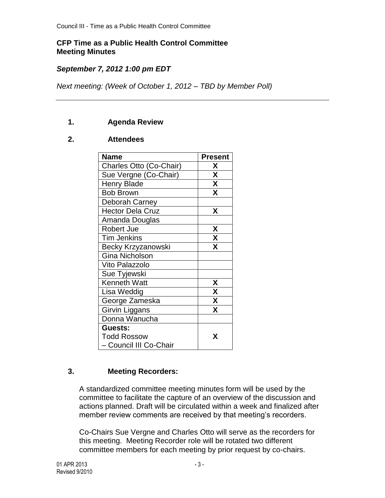# **CFP Time as a Public Health Control Committee Meeting Minutes**

# *September 7, 2012 1:00 pm EDT*

*Next meeting: (Week of October 1, 2012 – TBD by Member Poll)*

# **1. Agenda Review**

## **2. Attendees**

| <b>Name</b>             | <b>Present</b> |
|-------------------------|----------------|
| Charles Otto (Co-Chair) | X              |
| Sue Vergne (Co-Chair)   | X              |
| <b>Henry Blade</b>      | X              |
| <b>Bob Brown</b>        | X              |
| Deborah Carney          |                |
| <b>Hector Dela Cruz</b> | X              |
| Amanda Douglas          |                |
| <b>Robert Jue</b>       | X              |
| <b>Tim Jenkins</b>      | X              |
| Becky Krzyzanowski      | X              |
| <b>Gina Nicholson</b>   |                |
| Vito Palazzolo          |                |
| Sue Tyjewski            |                |
| <b>Kenneth Watt</b>     | X              |
| Lisa Weddig             | X              |
| George Zameska          | X              |
| Girvin Liggans          | X              |
| Donna Wanucha           |                |
| Guests:                 |                |
| <b>Todd Rossow</b>      | x              |
| - Council III Co-Chair  |                |

### **3. Meeting Recorders:**

A standardized committee meeting minutes form will be used by the committee to facilitate the capture of an overview of the discussion and actions planned. Draft will be circulated within a week and finalized after member review comments are received by that meeting's recorders.

Co-Chairs Sue Vergne and Charles Otto will serve as the recorders for this meeting. Meeting Recorder role will be rotated two different committee members for each meeting by prior request by co-chairs.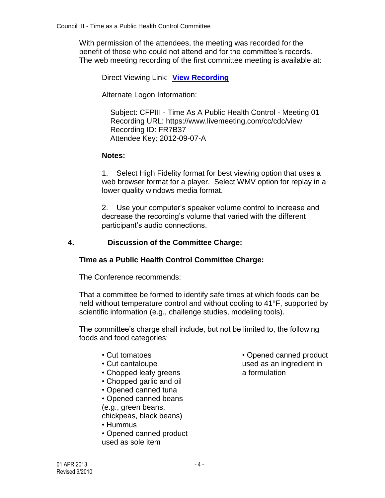With permission of the attendees, the meeting was recorded for the benefit of those who could not attend and for the committee's records. The web meeting recording of the first committee meeting is available at:

Direct Viewing Link: **[View Recording](https://www.livemeeting.com/cc/cdc/view?id=FR7B37&pw=2012-09-07-A)**

Alternate Logon Information:

 Subject: CFPIII - Time As A Public Health Control - Meeting 01 Recording URL: https://www.livemeeting.com/cc/cdc/view Recording ID: FR7B37 Attendee Key: 2012-09-07-A

# **Notes:**

1. Select High Fidelity format for best viewing option that uses a web browser format for a player. Select WMV option for replay in a lower quality windows media format.

2. Use your computer's speaker volume control to increase and decrease the recording's volume that varied with the different participant's audio connections.

# **4. Discussion of the Committee Charge:**

### **Time as a Public Health Control Committee Charge:**

The Conference recommends:

That a committee be formed to identify safe times at which foods can be held without temperature control and without cooling to 41°F, supported by scientific information (e.g., challenge studies, modeling tools).

The committee's charge shall include, but not be limited to, the following foods and food categories:

- Cut tomatoes
- Cut cantaloupe
- Chopped leafy greens
- Chopped garlic and oil
- Opened canned tuna

• Opened canned beans

(e.g., green beans,

chickpeas, black beans)

• Hummus

• Opened canned product used as sole item

• Opened canned product used as an ingredient in a formulation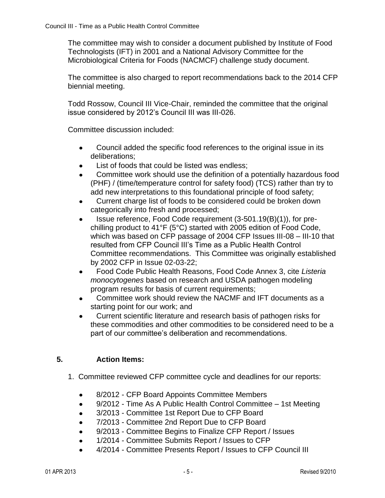The committee may wish to consider a document published by Institute of Food Technologists (IFT) in 2001 and a National Advisory Committee for the Microbiological Criteria for Foods (NACMCF) challenge study document.

The committee is also charged to report recommendations back to the 2014 CFP biennial meeting.

Todd Rossow, Council III Vice-Chair, reminded the committee that the original issue considered by 2012's Council III was III-026.

Committee discussion included:

- Council added the specific food references to the original issue in its  $\bullet$ deliberations;
- List of foods that could be listed was endless;
- Committee work should use the definition of a potentially hazardous food  $\bullet$ (PHF) / (time/temperature control for safety food) (TCS) rather than try to add new interpretations to this foundational principle of food safety;
- Current charge list of foods to be considered could be broken down  $\bullet$ categorically into fresh and processed;
- Issue reference, Food Code requirement (3-501.19(B)(1)), for pre- $\bullet$ chilling product to 41°F (5°C) started with 2005 edition of Food Code, which was based on CFP passage of 2004 CFP Issues III-08 – III-10 that resulted from CFP Council III's Time as a Public Health Control Committee recommendations. This Committee was originally established by 2002 CFP in Issue 02-03-22;
- Food Code Public Health Reasons, Food Code Annex 3, cite *Listeria*   $\bullet$ *monocytogenes* based on research and USDA pathogen modeling program results for basis of current requirements;
- Committee work should review the NACMF and IFT documents as a  $\bullet$ starting point for our work; and
- Current scientific literature and research basis of pathogen risks for  $\bullet$ these commodities and other commodities to be considered need to be a part of our committee's deliberation and recommendations.

# **5. Action Items:**

- 1. Committee reviewed CFP committee cycle and deadlines for our reports:
	- 8/2012 CFP Board Appoints Committee Members
	- 9/2012 Time As A Public Health Control Committee 1st Meeting  $\bullet$
	- 3/2013 Committee 1st Report Due to CFP Board
	- 7/2013 Committee 2nd Report Due to CFP Board  $\bullet$
	- 9/2013 Committee Begins to Finalize CFP Report / Issues
	- 1/2014 Committee Submits Report / Issues to CFP  $\bullet$
	- 4/2014 Committee Presents Report / Issues to CFP Council III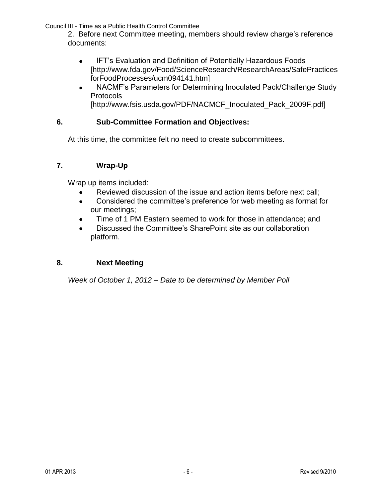2. Before next Committee meeting, members should review charge's reference documents:

- IFT's Evaluation and Definition of Potentially Hazardous Foods  $\bullet$ [http://www.fda.gov/Food/ScienceResearch/ResearchAreas/SafePractices forFoodProcesses/ucm094141.htm]
- NACMF's Parameters for Determining Inoculated Pack/Challenge Study  $\bullet$ **Protocols** [http://www.fsis.usda.gov/PDF/NACMCF\_Inoculated\_Pack\_2009F.pdf]

# **6. Sub-Committee Formation and Objectives:**

At this time, the committee felt no need to create subcommittees.

# **7. Wrap-Up**

Wrap up items included:

- Reviewed discussion of the issue and action items before next call;
- Considered the committee's preference for web meeting as format for  $\bullet$ our meetings;
- Time of 1 PM Eastern seemed to work for those in attendance; and
- Discussed the Committee's SharePoint site as our collaboration  $\bullet$ platform.

# **8. Next Meeting**

*Week of October 1, 2012 – Date to be determined by Member Poll*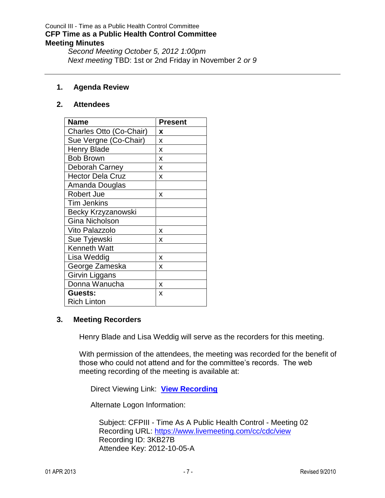### Council III - Time as a Public Health Control Committee **CFP Time as a Public Health Control Committee Meeting Minutes**

*Second Meeting October 5, 2012 1:00pm Next meeting* TBD: 1st or 2nd Friday in November 2 *or 9*

#### **1. Agenda Review**

#### **2. Attendees**

| <b>Name</b>             | <b>Present</b> |
|-------------------------|----------------|
| Charles Otto (Co-Chair) | x              |
| Sue Vergne (Co-Chair)   | X              |
| <b>Henry Blade</b>      | X              |
| <b>Bob Brown</b>        | X              |
| Deborah Carney          | X              |
| <b>Hector Dela Cruz</b> | X              |
| Amanda Douglas          |                |
| <b>Robert Jue</b>       | x              |
| <b>Tim Jenkins</b>      |                |
| Becky Krzyzanowski      |                |
| <b>Gina Nicholson</b>   |                |
| Vito Palazzolo          | X              |
| Sue Tyjewski            | x              |
| <b>Kenneth Watt</b>     |                |
| Lisa Weddig             | x              |
| George Zameska          | x              |
| Girvin Liggans          |                |
| Donna Wanucha           | X              |
| Guests:                 | X              |
| <b>Rich Linton</b>      |                |

### **3. Meeting Recorders**

Henry Blade and Lisa Weddig will serve as the recorders for this meeting.

With permission of the attendees, the meeting was recorded for the benefit of those who could not attend and for the committee's records. The web meeting recording of the meeting is available at:

Direct Viewing Link: **[View Recording](https://www.livemeeting.com/cc/cdc/view?id=3KB27B&pw=2012-10-05-A)**

Alternate Logon Information:

 Subject: CFPIII - Time As A Public Health Control - Meeting 02 Recording URL:<https://www.livemeeting.com/cc/cdc/view> Recording ID: 3KB27B Attendee Key: 2012-10-05-A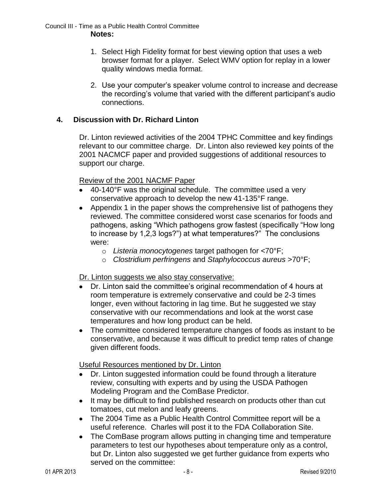- 1. Select High Fidelity format for best viewing option that uses a web browser format for a player. Select WMV option for replay in a lower quality windows media format.
- 2. Use your computer's speaker volume control to increase and decrease the recording's volume that varied with the different participant's audio connections.

## **4. Discussion with Dr. Richard Linton**

Dr. Linton reviewed activities of the 2004 TPHC Committee and key findings relevant to our committee charge. Dr. Linton also reviewed key points of the 2001 NACMCF paper and provided suggestions of additional resources to support our charge.

Review of the 2001 NACMF Paper

- 40-140°F was the original schedule. The committee used a very conservative approach to develop the new 41-135°F range.
- Appendix 1 in the paper shows the comprehensive list of pathogens they reviewed. The committee considered worst case scenarios for foods and pathogens, asking "Which pathogens grow fastest (specifically "How long to increase by 1,2,3 logs?") at what temperatures?" The conclusions were:
	- o *Listeria monocytogenes* target pathogen for <70°F;
	- o *Clostridium perfringens* and *Staphylococcus aureus* >70°F;

Dr. Linton suggests we also stay conservative:

- Dr. Linton said the committee's original recommendation of 4 hours at room temperature is extremely conservative and could be 2-3 times longer, even without factoring in lag time. But he suggested we stay conservative with our recommendations and look at the worst case temperatures and how long product can be held.
- The committee considered temperature changes of foods as instant to be  $\bullet$ conservative, and because it was difficult to predict temp rates of change given different foods.

Useful Resources mentioned by Dr. Linton

- Dr. Linton suggested information could be found through a literature  $\bullet$ review, consulting with experts and by using the USDA Pathogen Modeling Program and the ComBase Predictor.
- It may be difficult to find published research on products other than cut tomatoes, cut melon and leafy greens.
- The 2004 Time as a Public Health Control Committee report will be a useful reference. Charles will post it to the FDA Collaboration Site.
- $\bullet$ The ComBase program allows putting in changing time and temperature parameters to test our hypotheses about temperature only as a control, but Dr. Linton also suggested we get further guidance from experts who served on the committee: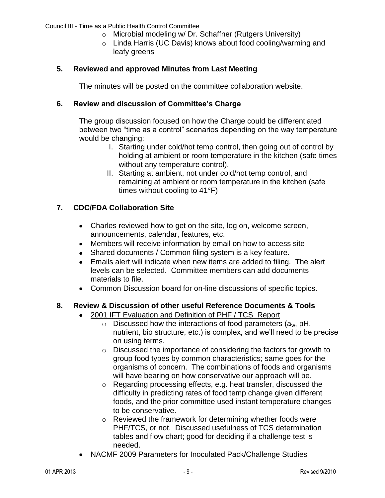- o Microbial modeling w/ Dr. Schaffner (Rutgers University)
- o Linda Harris (UC Davis) knows about food cooling/warming and leafy greens

#### **5. Reviewed and approved Minutes from Last Meeting**

The minutes will be posted on the committee collaboration website.

### **6. Review and discussion of Committee's Charge**

The group discussion focused on how the Charge could be differentiated between two "time as a control" scenarios depending on the way temperature would be changing:

- I. Starting under cold/hot temp control, then going out of control by holding at ambient or room temperature in the kitchen (safe times without any temperature control).
- II. Starting at ambient, not under cold/hot temp control, and remaining at ambient or room temperature in the kitchen (safe times without cooling to 41°F)

## **7. CDC/FDA Collaboration Site**

- Charles reviewed how to get on the site, log on, welcome screen, announcements, calendar, features, etc.
- Members will receive information by email on how to access site
- Shared documents / Common filing system is a key feature.
- Emails alert will indicate when new items are added to filing. The alert levels can be selected. Committee members can add documents materials to file.
- Common Discussion board for on-line discussions of specific topics.

### **8. Review & Discussion of other useful Reference Documents & Tools**

- 2001 IFT Evaluation and Definition of PHF / TCS Report  $\bullet$ 
	- $\circ$  Discussed how the interactions of food parameters (a<sub>w</sub>, pH, nutrient, bio structure, etc.) is complex, and we'll need to be precise on using terms.
	- o Discussed the importance of considering the factors for growth to group food types by common characteristics; same goes for the organisms of concern. The combinations of foods and organisms will have bearing on how conservative our approach will be.
	- o Regarding processing effects, e.g. heat transfer, discussed the difficulty in predicting rates of food temp change given different foods, and the prior committee used instant temperature changes to be conservative.
	- o Reviewed the framework for determining whether foods were PHF/TCS, or not. Discussed usefulness of TCS determination tables and flow chart; good for deciding if a challenge test is needed.
- NACMF 2009 Parameters for Inoculated Pack/Challenge Studies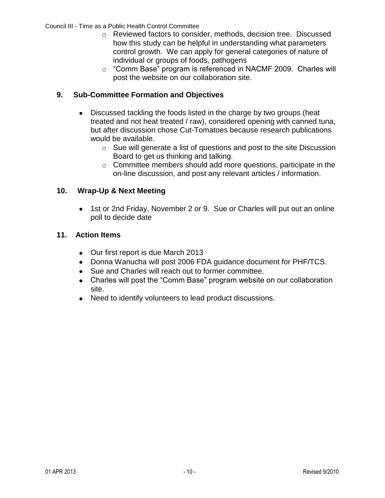- o Reviewed factors to consider, methods, decision tree. Discussed how this study can be helpful in understanding what parameters control growth. We can apply for general categories of nature of individual or groups of foods, pathogens
- o "Comm Base" program is referenced in NACMF 2009. Charles will post the website on our collaboration site.

# **9. Sub-Committee Formation and Objectives**

- Discussed tackling the foods listed in the charge by two groups (heat treated and not heat treated / raw), considered opening with canned tuna, but after discussion chose Cut-Tomatoes because research publications would be available.
	- o Sue will generate a list of questions and post to the site Discussion Board to get us thinking and talking.
	- o Committee members should add more questions, participate in the on-line discussion, and post any relevant articles / information.

# **10. Wrap-Up & Next Meeting**

1st or 2nd Friday, November 2 or 9. Sue or Charles will put out an online poll to decide date

# **11. Action Items**

- Our first report is due March 2013
- Donna Wanucha will post 2006 FDA guidance document for PHF/TCS.
- Sue and Charles will reach out to former committee.
- Charles will post the "Comm Base" program website on our collaboration site.
- Need to identify volunteers to lead product discussions.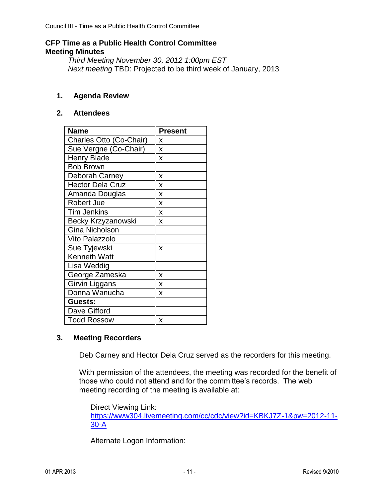#### **CFP Time as a Public Health Control Committee Meeting Minutes**

*Third Meeting November 30, 2012 1:00pm EST Next meeting* TBD: Projected to be third week of January, 2013

## **1. Agenda Review**

### **2. Attendees**

| <b>Name</b>             | <b>Present</b> |
|-------------------------|----------------|
| Charles Otto (Co-Chair) | x              |
| Sue Vergne (Co-Chair)   | X              |
| <b>Henry Blade</b>      | X              |
| <b>Bob Brown</b>        |                |
| Deborah Carney          | x              |
| <b>Hector Dela Cruz</b> | x              |
| Amanda Douglas          | X              |
| <b>Robert Jue</b>       | X              |
| <b>Tim Jenkins</b>      | X              |
| Becky Krzyzanowski      | x              |
| <b>Gina Nicholson</b>   |                |
| Vito Palazzolo          |                |
| Sue Tyjewski            | x              |
| <b>Kenneth Watt</b>     |                |
| Lisa Weddig             |                |
| George Zameska          | x              |
| <b>Girvin Liggans</b>   | X              |
| Donna Wanucha           | X              |
| Guests:                 |                |
| Dave Gifford            |                |
| <b>Todd Rossow</b>      | x              |

### **3. Meeting Recorders**

Deb Carney and Hector Dela Cruz served as the recorders for this meeting.

With permission of the attendees, the meeting was recorded for the benefit of those who could not attend and for the committee's records. The web meeting recording of the meeting is available at:

Direct Viewing Link: [https://www304.livemeeting.com/cc/cdc/view?id=KBKJ7Z-1&pw=2012-11-](https://www304.livemeeting.com/cc/cdc/view?id=KBKJ7Z-1&pw=2012-11-30-A) [30-A](https://www304.livemeeting.com/cc/cdc/view?id=KBKJ7Z-1&pw=2012-11-30-A)

Alternate Logon Information: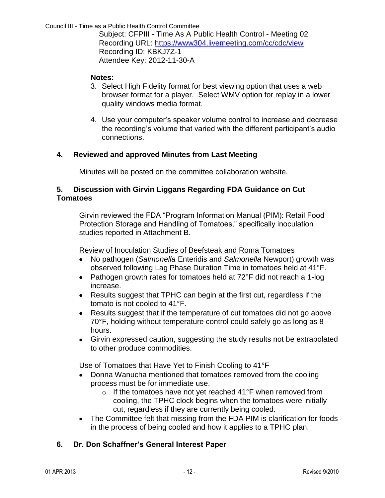Subject: CFPIII - Time As A Public Health Control - Meeting 02 Recording URL:<https://www304.livemeeting.com/cc/cdc/view> Recording ID: KBKJ7Z-1 Attendee Key: 2012-11-30-A

## **Notes:**

- 3. Select High Fidelity format for best viewing option that uses a web browser format for a player. Select WMV option for replay in a lower quality windows media format.
- 4. Use your computer's speaker volume control to increase and decrease the recording's volume that varied with the different participant's audio connections.

# **4. Reviewed and approved Minutes from Last Meeting**

Minutes will be posted on the committee collaboration website.

### **5. Discussion with Girvin Liggans Regarding FDA Guidance on Cut Tomatoes**

Girvin reviewed the FDA "Program Information Manual (PIM): Retail Food Protection Storage and Handling of Tomatoes," specifically inoculation studies reported in Attachment B.

Review of Inoculation Studies of Beefsteak and Roma Tomatoes

- No pathogen (*Salmonella* Enteridis and *Salmonella* Newport) growth was  $\bullet$ observed following Lag Phase Duration Time in tomatoes held at 41°F.
- Pathogen growth rates for tomatoes held at 72°F did not reach a 1-log increase.
- Results suggest that TPHC can begin at the first cut, regardless if the tomato is not cooled to 41°F.
- Results suggest that if the temperature of cut tomatoes did not go above 70°F, holding without temperature control could safely go as long as 8 hours.
- Girvin expressed caution, suggesting the study results not be extrapolated to other produce commodities.

Use of Tomatoes that Have Yet to Finish Cooling to 41°F

- Donna Wanucha mentioned that tomatoes removed from the cooling process must be for immediate use.
	- $\circ$  If the tomatoes have not yet reached 41°F when removed from cooling, the TPHC clock begins when the tomatoes were initially cut, regardless if they are currently being cooled.
- The Committee felt that missing from the FDA PIM is clarification for foods in the process of being cooled and how it applies to a TPHC plan.

# **6. Dr. Don Schaffner's General Interest Paper**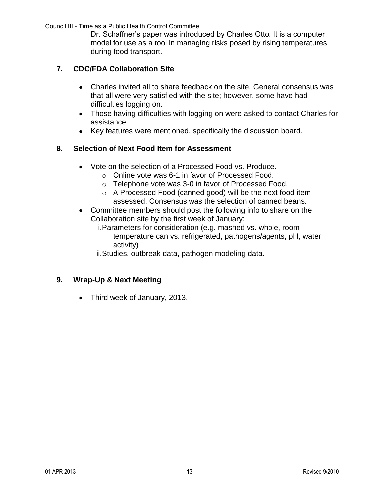Dr. Schaffner's paper was introduced by Charles Otto. It is a computer model for use as a tool in managing risks posed by rising temperatures during food transport.

# **7. CDC/FDA Collaboration Site**

- Charles invited all to share feedback on the site. General consensus was that all were very satisfied with the site; however, some have had difficulties logging on.
- Those having difficulties with logging on were asked to contact Charles for assistance
- Key features were mentioned, specifically the discussion board.

# **8. Selection of Next Food Item for Assessment**

- Vote on the selection of a Processed Food vs. Produce.
	- o Online vote was 6-1 in favor of Processed Food.
	- o Telephone vote was 3-0 in favor of Processed Food.
	- o A Processed Food (canned good) will be the next food item assessed. Consensus was the selection of canned beans.
- Committee members should post the following info to share on the Collaboration site by the first week of January:
	- i.Parameters for consideration (e.g. mashed vs. whole, room temperature can vs. refrigerated, pathogens/agents, pH, water activity)

ii.Studies, outbreak data, pathogen modeling data.

# **9. Wrap-Up & Next Meeting**

• Third week of January, 2013.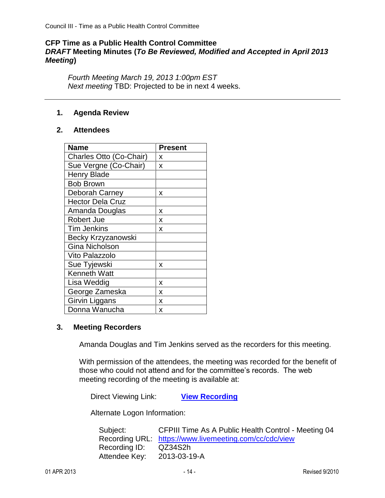# **CFP Time as a Public Health Control Committee** *DRAFT* **Meeting Minutes (***To Be Reviewed, Modified and Accepted in April 2013 Meeting***)**

*Fourth Meeting March 19, 2013 1:00pm EST Next meeting* TBD: Projected to be in next 4 weeks.

#### **1. Agenda Review**

#### **2. Attendees**

| <b>Name</b>             | <b>Present</b> |
|-------------------------|----------------|
| Charles Otto (Co-Chair) | x              |
| Sue Vergne (Co-Chair)   | X              |
| <b>Henry Blade</b>      |                |
| <b>Bob Brown</b>        |                |
| Deborah Carney          | x              |
| <b>Hector Dela Cruz</b> |                |
| Amanda Douglas          | x              |
| <b>Robert Jue</b>       | X              |
| <b>Tim Jenkins</b>      | x              |
| Becky Krzyzanowski      |                |
| <b>Gina Nicholson</b>   |                |
| <b>Vito Palazzolo</b>   |                |
| Sue Tyjewski            | x              |
| <b>Kenneth Watt</b>     |                |
| Lisa Weddig             | x              |
| George Zameska          | x              |
| Girvin Liggans          | X              |
| Donna Wanucha           | X              |

#### **3. Meeting Recorders**

Amanda Douglas and Tim Jenkins served as the recorders for this meeting.

With permission of the attendees, the meeting was recorded for the benefit of those who could not attend and for the committee's records. The web meeting recording of the meeting is available at:

Direct Viewing Link: **[View Recording](https://www.livemeeting.com/cc/cdc/view?id=QZ34S2&pw=2013-03-19-A)**

Alternate Logon Information:

| Subject:      | CFPIII Time As A Public Health Control - Meeting 04    |
|---------------|--------------------------------------------------------|
|               | Recording URL: https://www.livemeeting.com/cc/cdc/view |
| Recording ID: | QZ34S2h                                                |
| Attendee Key: | 2013-03-19-A                                           |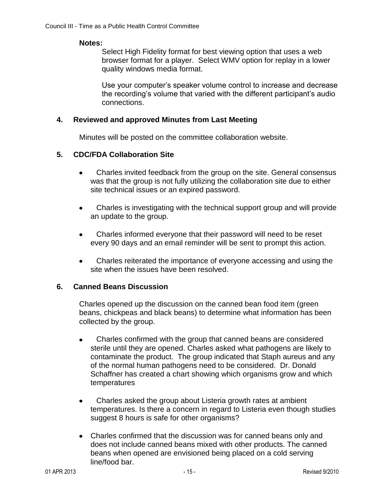#### **Notes:**

Select High Fidelity format for best viewing option that uses a web browser format for a player. Select WMV option for replay in a lower quality windows media format.

Use your computer's speaker volume control to increase and decrease the recording's volume that varied with the different participant's audio connections.

#### **4. Reviewed and approved Minutes from Last Meeting**

Minutes will be posted on the committee collaboration website.

### **5. CDC/FDA Collaboration Site**

- $\bullet$ Charles invited feedback from the group on the site. General consensus was that the group is not fully utilizing the collaboration site due to either site technical issues or an expired password.
- Charles is investigating with the technical support group and will provide  $\bullet$ an update to the group.
- Charles informed everyone that their password will need to be reset  $\bullet$ every 90 days and an email reminder will be sent to prompt this action.
- Charles reiterated the importance of everyone accessing and using the  $\bullet$ site when the issues have been resolved.

### **6. Canned Beans Discussion**

Charles opened up the discussion on the canned bean food item (green beans, chickpeas and black beans) to determine what information has been collected by the group.

- Charles confirmed with the group that canned beans are considered  $\bullet$ sterile until they are opened. Charles asked what pathogens are likely to contaminate the product. The group indicated that Staph aureus and any of the normal human pathogens need to be considered. Dr. Donald Schaffner has created a chart showing which organisms grow and which temperatures
- Charles asked the group about Listeria growth rates at ambient  $\bullet$ temperatures. Is there a concern in regard to Listeria even though studies suggest 8 hours is safe for other organisms?
- Charles confirmed that the discussion was for canned beans only and does not include canned beans mixed with other products. The canned beans when opened are envisioned being placed on a cold serving line/food bar.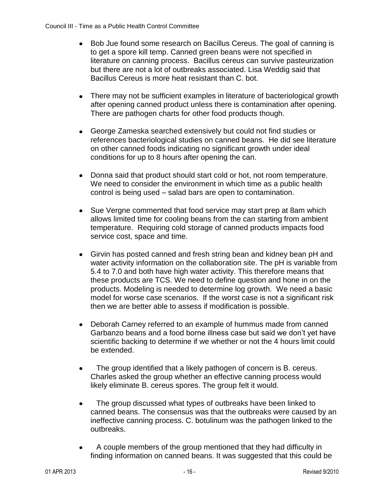- Bob Jue found some research on Bacillus Cereus. The goal of canning is  $\bullet$ to get a spore kill temp. Canned green beans were not specified in literature on canning process. Bacillus cereus can survive pasteurization but there are not a lot of outbreaks associated. Lisa Weddig said that Bacillus Cereus is more heat resistant than C. bot.
- $\bullet$ There may not be sufficient examples in literature of bacteriological growth after opening canned product unless there is contamination after opening. There are pathogen charts for other food products though.
- $\bullet$ George Zameska searched extensively but could not find studies or references bacteriological studies on canned beans. He did see literature on other canned foods indicating no significant growth under ideal conditions for up to 8 hours after opening the can.
- Donna said that product should start cold or hot, not room temperature. We need to consider the environment in which time as a public health control is being used – salad bars are open to contamination.
- $\bullet$ Sue Vergne commented that food service may start prep at 8am which allows limited time for cooling beans from the can starting from ambient temperature. Requiring cold storage of canned products impacts food service cost, space and time.
- Girvin has posted canned and fresh string bean and kidney bean pH and  $\bullet$ water activity information on the collaboration site. The pH is variable from 5.4 to 7.0 and both have high water activity. This therefore means that these products are TCS. We need to define question and hone in on the products. Modeling is needed to determine log growth. We need a basic model for worse case scenarios. If the worst case is not a significant risk then we are better able to assess if modification is possible.
- $\bullet$ Deborah Carney referred to an example of hummus made from canned Garbanzo beans and a food borne illness case but said we don't yet have scientific backing to determine if we whether or not the 4 hours limit could be extended.
- The group identified that a likely pathogen of concern is B. cereus.  $\bullet$ Charles asked the group whether an effective canning process would likely eliminate B. cereus spores. The group felt it would.
- The group discussed what types of outbreaks have been linked to  $\bullet$ canned beans. The consensus was that the outbreaks were caused by an ineffective canning process. C. botulinum was the pathogen linked to the outbreaks.
- A couple members of the group mentioned that they had difficulty in  $\bullet$ finding information on canned beans. It was suggested that this could be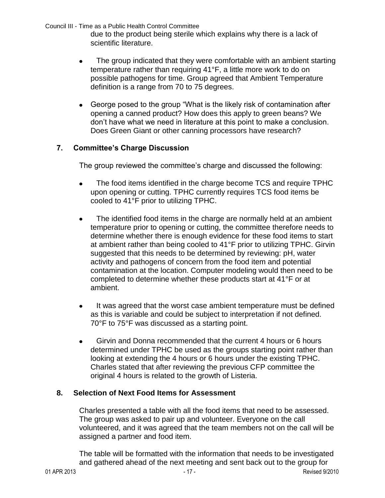due to the product being sterile which explains why there is a lack of scientific literature.

- The group indicated that they were comfortable with an ambient starting  $\bullet$ temperature rather than requiring 41°F, a little more work to do on possible pathogens for time. Group agreed that Ambient Temperature definition is a range from 70 to 75 degrees.
- George posed to the group "What is the likely risk of contamination after opening a canned product? How does this apply to green beans? We don't have what we need in literature at this point to make a conclusion. Does Green Giant or other canning processors have research?

# **7. Committee's Charge Discussion**

The group reviewed the committee's charge and discussed the following:

- The food items identified in the charge become TCS and require TPHC  $\bullet$ upon opening or cutting. TPHC currently requires TCS food items be cooled to 41°F prior to utilizing TPHC.
- $\bullet$ The identified food items in the charge are normally held at an ambient temperature prior to opening or cutting, the committee therefore needs to determine whether there is enough evidence for these food items to start at ambient rather than being cooled to 41°F prior to utilizing TPHC. Girvin suggested that this needs to be determined by reviewing: pH, water activity and pathogens of concern from the food item and potential contamination at the location. Computer modeling would then need to be completed to determine whether these products start at 41°F or at ambient.
- $\bullet$ It was agreed that the worst case ambient temperature must be defined as this is variable and could be subject to interpretation if not defined. 70°F to 75°F was discussed as a starting point.
- Girvin and Donna recommended that the current 4 hours or 6 hours  $\bullet$ determined under TPHC be used as the groups starting point rather than looking at extending the 4 hours or 6 hours under the existing TPHC. Charles stated that after reviewing the previous CFP committee the original 4 hours is related to the growth of Listeria.

### **8. Selection of Next Food Items for Assessment**

Charles presented a table with all the food items that need to be assessed. The group was asked to pair up and volunteer. Everyone on the call volunteered, and it was agreed that the team members not on the call will be assigned a partner and food item.

The table will be formatted with the information that needs to be investigated and gathered ahead of the next meeting and sent back out to the group for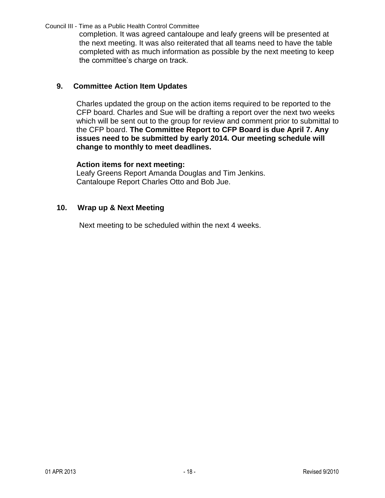completion. It was agreed cantaloupe and leafy greens will be presented at the next meeting. It was also reiterated that all teams need to have the table completed with as much information as possible by the next meeting to keep the committee's charge on track.

# **9. Committee Action Item Updates**

Charles updated the group on the action items required to be reported to the CFP board. Charles and Sue will be drafting a report over the next two weeks which will be sent out to the group for review and comment prior to submittal to the CFP board. **The Committee Report to CFP Board is due April 7. Any issues need to be submitted by early 2014. Our meeting schedule will change to monthly to meet deadlines.**

#### **Action items for next meeting:**

Leafy Greens Report Amanda Douglas and Tim Jenkins. Cantaloupe Report Charles Otto and Bob Jue.

#### **10. Wrap up & Next Meeting**

Next meeting to be scheduled within the next 4 weeks.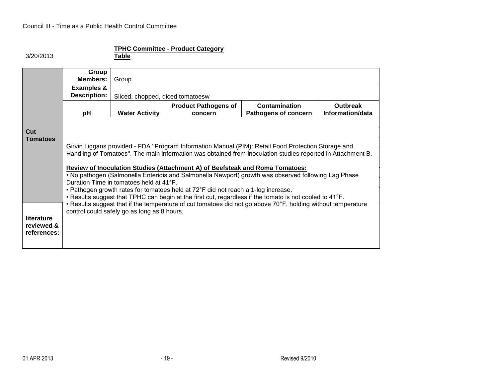#### 3/20/2013

#### **TPHC Committee - Product Category**

**Table**

|             | Group                                   |                                                                                                                                                                                                                    |                                                                                   |                                                                                                              |                  |  |  |  |
|-------------|-----------------------------------------|--------------------------------------------------------------------------------------------------------------------------------------------------------------------------------------------------------------------|-----------------------------------------------------------------------------------|--------------------------------------------------------------------------------------------------------------|------------------|--|--|--|
|             | <b>Members:</b>                         | Group                                                                                                                                                                                                              |                                                                                   |                                                                                                              |                  |  |  |  |
|             | <b>Examples &amp;</b>                   |                                                                                                                                                                                                                    |                                                                                   |                                                                                                              |                  |  |  |  |
|             | <b>Description:</b>                     | Sliced, chopped, diced tomatoesw                                                                                                                                                                                   |                                                                                   |                                                                                                              |                  |  |  |  |
|             |                                         |                                                                                                                                                                                                                    | <b>Product Pathogens of</b>                                                       | Contamination                                                                                                | <b>Outbreak</b>  |  |  |  |
|             | рH                                      | <b>Water Activity</b>                                                                                                                                                                                              | concern                                                                           | Pathogens of concern                                                                                         | Information/data |  |  |  |
|             |                                         |                                                                                                                                                                                                                    |                                                                                   |                                                                                                              |                  |  |  |  |
| Cut         |                                         |                                                                                                                                                                                                                    |                                                                                   |                                                                                                              |                  |  |  |  |
| Tomatoes    |                                         |                                                                                                                                                                                                                    |                                                                                   |                                                                                                              |                  |  |  |  |
|             |                                         | Girvin Liggans provided - FDA "Program Information Manual (PIM): Retail Food Protection Storage and<br>Handling of Tomatoes". The main information was obtained from inoculation studies reported in Attachment B. |                                                                                   |                                                                                                              |                  |  |  |  |
|             |                                         |                                                                                                                                                                                                                    |                                                                                   |                                                                                                              |                  |  |  |  |
|             |                                         | <b>Review of Inoculation Studies (Attachment A) of Beefsteak and Roma Tomatoes:</b>                                                                                                                                |                                                                                   |                                                                                                              |                  |  |  |  |
|             |                                         | • No pathogen (Salmonella Enteridis and Salmonella Newport) growth was observed following Lag Phase                                                                                                                |                                                                                   |                                                                                                              |                  |  |  |  |
|             | Duration Time in tomatoes held at 41°F. |                                                                                                                                                                                                                    |                                                                                   |                                                                                                              |                  |  |  |  |
|             |                                         |                                                                                                                                                                                                                    | • Pathogen growth rates for tomatoes held at 72°F did not reach a 1-log increase. |                                                                                                              |                  |  |  |  |
|             |                                         |                                                                                                                                                                                                                    |                                                                                   | . Results suggest that TPHC can begin at the first cut, regardless if the tomato is not cooled to 41°F.      |                  |  |  |  |
|             |                                         |                                                                                                                                                                                                                    |                                                                                   | • Results suggest that if the temperature of cut tomatoes did not go above 70°F, holding without temperature |                  |  |  |  |
| literature  |                                         | control could safely go as long as 8 hours.                                                                                                                                                                        |                                                                                   |                                                                                                              |                  |  |  |  |
| reviewed &  |                                         |                                                                                                                                                                                                                    |                                                                                   |                                                                                                              |                  |  |  |  |
| references: |                                         |                                                                                                                                                                                                                    |                                                                                   |                                                                                                              |                  |  |  |  |
|             |                                         |                                                                                                                                                                                                                    |                                                                                   |                                                                                                              |                  |  |  |  |
|             |                                         |                                                                                                                                                                                                                    |                                                                                   |                                                                                                              |                  |  |  |  |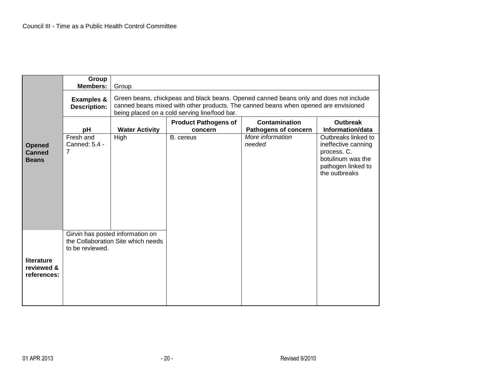|                                         | Group<br><b>Members:</b>                     | Group                                                                  |                                                                                                                                                                                                                               |                                                     |                                                                                                                       |  |  |
|-----------------------------------------|----------------------------------------------|------------------------------------------------------------------------|-------------------------------------------------------------------------------------------------------------------------------------------------------------------------------------------------------------------------------|-----------------------------------------------------|-----------------------------------------------------------------------------------------------------------------------|--|--|
|                                         | <b>Examples &amp;</b><br><b>Description:</b> |                                                                        | Green beans, chickpeas and black beans. Opened canned beans only and does not include<br>canned beans mixed with other products. The canned beans when opened are envisioned<br>being placed on a cold serving line/food bar. |                                                     |                                                                                                                       |  |  |
|                                         | pH                                           | <b>Water Activity</b>                                                  | <b>Product Pathogens of</b><br>concern                                                                                                                                                                                        | <b>Contamination</b><br><b>Pathogens of concern</b> | <b>Outbreak</b><br>Information/data                                                                                   |  |  |
| <b>Opened</b><br>Canned<br><b>Beans</b> | Fresh and<br>Canned: 5.4 -<br>7              | High                                                                   | B. cereus                                                                                                                                                                                                                     | More information<br>needed                          | Outbreaks linked to<br>ineffective canning<br>process. C.<br>botulinum was the<br>pathogen linked to<br>the outbreaks |  |  |
| literature<br>reviewed &<br>references: | to be reviewed.                              | Girvin has posted information on<br>the Collaboration Site which needs |                                                                                                                                                                                                                               |                                                     |                                                                                                                       |  |  |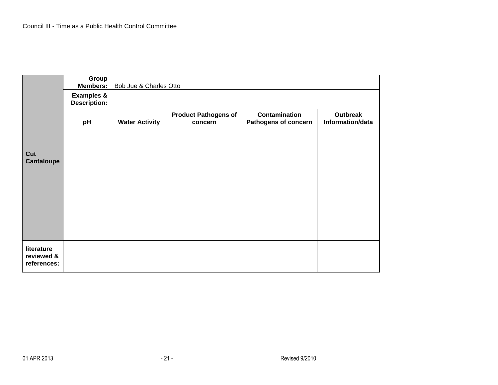|                           | Group<br><b>Members:</b>                     |                       | Bob Jue & Charles Otto                 |                                              |                              |  |  |
|---------------------------|----------------------------------------------|-----------------------|----------------------------------------|----------------------------------------------|------------------------------|--|--|
|                           | <b>Examples &amp;</b><br><b>Description:</b> |                       |                                        |                                              |                              |  |  |
|                           | pH                                           | <b>Water Activity</b> | <b>Product Pathogens of</b><br>concern | <b>Contamination</b><br>Pathogens of concern | Outbreak<br>Information/data |  |  |
|                           |                                              |                       |                                        |                                              |                              |  |  |
| Cut<br>Cantaloupe         |                                              |                       |                                        |                                              |                              |  |  |
|                           |                                              |                       |                                        |                                              |                              |  |  |
|                           |                                              |                       |                                        |                                              |                              |  |  |
|                           |                                              |                       |                                        |                                              |                              |  |  |
|                           |                                              |                       |                                        |                                              |                              |  |  |
| literature                |                                              |                       |                                        |                                              |                              |  |  |
| reviewed &<br>references: |                                              |                       |                                        |                                              |                              |  |  |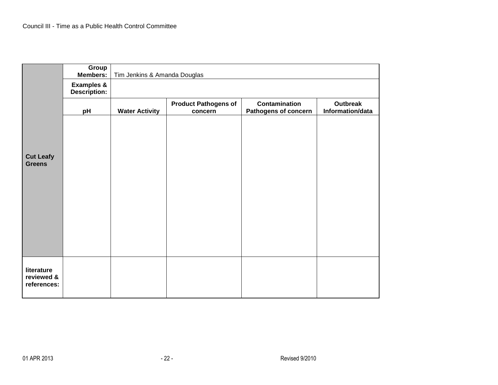|                                   | Group<br><b>Members:</b>                     | Tim Jenkins & Amanda Douglas |                                        |                                              |                                     |
|-----------------------------------|----------------------------------------------|------------------------------|----------------------------------------|----------------------------------------------|-------------------------------------|
|                                   | <b>Examples &amp;</b><br><b>Description:</b> |                              |                                        |                                              |                                     |
|                                   | pH                                           | <b>Water Activity</b>        | <b>Product Pathogens of</b><br>concern | <b>Contamination</b><br>Pathogens of concern | <b>Outbreak</b><br>Information/data |
|                                   |                                              |                              |                                        |                                              |                                     |
|                                   |                                              |                              |                                        |                                              |                                     |
| <b>Cut Leafy</b><br><b>Greens</b> |                                              |                              |                                        |                                              |                                     |
|                                   |                                              |                              |                                        |                                              |                                     |
|                                   |                                              |                              |                                        |                                              |                                     |
|                                   |                                              |                              |                                        |                                              |                                     |
|                                   |                                              |                              |                                        |                                              |                                     |
|                                   |                                              |                              |                                        |                                              |                                     |
| literature<br>reviewed &          |                                              |                              |                                        |                                              |                                     |
| references:                       |                                              |                              |                                        |                                              |                                     |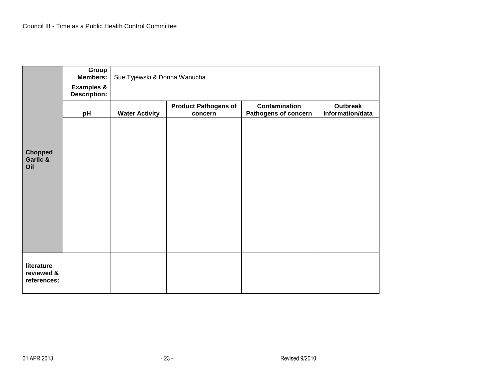|                                   | Group<br>Members:                            |                       | Sue Tyjewski & Donna Wanucha           |                                              |                              |  |  |
|-----------------------------------|----------------------------------------------|-----------------------|----------------------------------------|----------------------------------------------|------------------------------|--|--|
|                                   | <b>Examples &amp;</b><br><b>Description:</b> |                       |                                        |                                              |                              |  |  |
|                                   | pH                                           | <b>Water Activity</b> | <b>Product Pathogens of</b><br>concern | Contamination<br><b>Pathogens of concern</b> | Outbreak<br>Information/data |  |  |
|                                   |                                              |                       |                                        |                                              |                              |  |  |
|                                   |                                              |                       |                                        |                                              |                              |  |  |
| <b>Chopped</b><br>Garlic &<br>Oil |                                              |                       |                                        |                                              |                              |  |  |
|                                   |                                              |                       |                                        |                                              |                              |  |  |
|                                   |                                              |                       |                                        |                                              |                              |  |  |
|                                   |                                              |                       |                                        |                                              |                              |  |  |
|                                   |                                              |                       |                                        |                                              |                              |  |  |
|                                   |                                              |                       |                                        |                                              |                              |  |  |
| literature                        |                                              |                       |                                        |                                              |                              |  |  |
| reviewed &<br>references:         |                                              |                       |                                        |                                              |                              |  |  |
|                                   |                                              |                       |                                        |                                              |                              |  |  |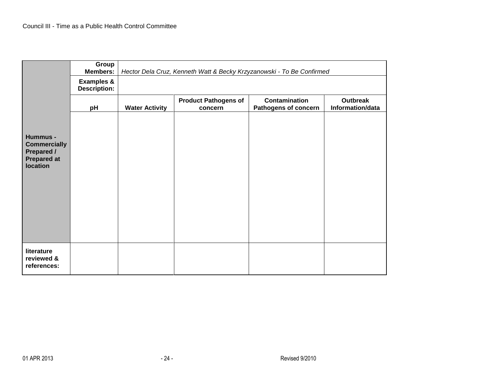|                                                                                               | Group<br><b>Members:</b>                     |                       |                                        | Hector Dela Cruz, Kenneth Watt & Becky Krzyzanowski - To Be Confirmed |                                     |
|-----------------------------------------------------------------------------------------------|----------------------------------------------|-----------------------|----------------------------------------|-----------------------------------------------------------------------|-------------------------------------|
|                                                                                               | <b>Examples &amp;</b><br><b>Description:</b> |                       |                                        |                                                                       |                                     |
|                                                                                               | pH                                           | <b>Water Activity</b> | <b>Product Pathogens of</b><br>concern | <b>Contamination</b><br>Pathogens of concern                          | <b>Outbreak</b><br>Information/data |
| Hummus -<br><b>Commercially</b><br><b>Prepared /</b><br><b>Prepared at</b><br><b>location</b> |                                              |                       |                                        |                                                                       |                                     |
| literature<br>reviewed &<br>references:                                                       |                                              |                       |                                        |                                                                       |                                     |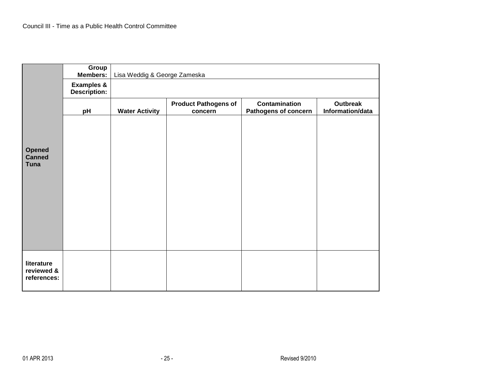|                                        | Group<br><b>Members:</b>                     |                       | Lisa Weddig & George Zameska           |                                                     |                                     |  |  |
|----------------------------------------|----------------------------------------------|-----------------------|----------------------------------------|-----------------------------------------------------|-------------------------------------|--|--|
|                                        | <b>Examples &amp;</b><br><b>Description:</b> |                       |                                        |                                                     |                                     |  |  |
|                                        | pH                                           | <b>Water Activity</b> | <b>Product Pathogens of</b><br>concern | <b>Contamination</b><br><b>Pathogens of concern</b> | <b>Outbreak</b><br>Information/data |  |  |
|                                        |                                              |                       |                                        |                                                     |                                     |  |  |
|                                        |                                              |                       |                                        |                                                     |                                     |  |  |
| <b>Opened</b><br>Canned<br><b>Tuna</b> |                                              |                       |                                        |                                                     |                                     |  |  |
|                                        |                                              |                       |                                        |                                                     |                                     |  |  |
|                                        |                                              |                       |                                        |                                                     |                                     |  |  |
|                                        |                                              |                       |                                        |                                                     |                                     |  |  |
|                                        |                                              |                       |                                        |                                                     |                                     |  |  |
|                                        |                                              |                       |                                        |                                                     |                                     |  |  |
| literature                             |                                              |                       |                                        |                                                     |                                     |  |  |
| reviewed &<br>references:              |                                              |                       |                                        |                                                     |                                     |  |  |
|                                        |                                              |                       |                                        |                                                     |                                     |  |  |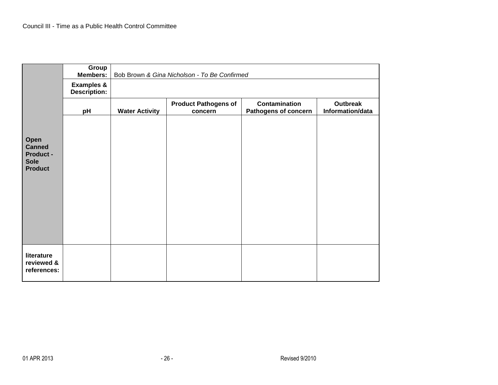|                                                                     | Group<br><b>Members:</b>                     |                       | Bob Brown & Gina Nicholson - To Be Confirmed |                                                     |                              |
|---------------------------------------------------------------------|----------------------------------------------|-----------------------|----------------------------------------------|-----------------------------------------------------|------------------------------|
|                                                                     | <b>Examples &amp;</b><br><b>Description:</b> |                       |                                              |                                                     |                              |
|                                                                     | pH                                           | <b>Water Activity</b> | <b>Product Pathogens of</b><br>concern       | <b>Contamination</b><br><b>Pathogens of concern</b> | Outbreak<br>Information/data |
| Open<br><b>Canned</b><br>Product -<br><b>Sole</b><br><b>Product</b> |                                              |                       |                                              |                                                     |                              |
| literature<br>reviewed &<br>references:                             |                                              |                       |                                              |                                                     |                              |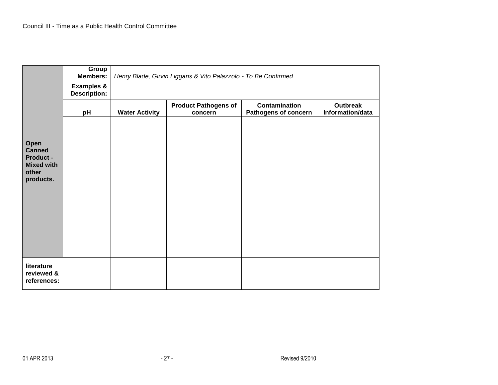|                                         | Group<br><b>Members:</b>                     |                       | Henry Blade, Girvin Liggans & Vito Palazzolo - To Be Confirmed |                                              |                                     |  |  |
|-----------------------------------------|----------------------------------------------|-----------------------|----------------------------------------------------------------|----------------------------------------------|-------------------------------------|--|--|
|                                         | <b>Examples &amp;</b><br><b>Description:</b> |                       |                                                                |                                              |                                     |  |  |
|                                         | pH                                           | <b>Water Activity</b> | <b>Product Pathogens of</b><br>concern                         | <b>Contamination</b><br>Pathogens of concern | <b>Outbreak</b><br>Information/data |  |  |
|                                         |                                              |                       |                                                                |                                              |                                     |  |  |
| Open<br><b>Canned</b>                   |                                              |                       |                                                                |                                              |                                     |  |  |
| <b>Product -</b><br><b>Mixed with</b>   |                                              |                       |                                                                |                                              |                                     |  |  |
| other<br>products.                      |                                              |                       |                                                                |                                              |                                     |  |  |
|                                         |                                              |                       |                                                                |                                              |                                     |  |  |
|                                         |                                              |                       |                                                                |                                              |                                     |  |  |
|                                         |                                              |                       |                                                                |                                              |                                     |  |  |
|                                         |                                              |                       |                                                                |                                              |                                     |  |  |
|                                         |                                              |                       |                                                                |                                              |                                     |  |  |
| literature<br>reviewed &<br>references: |                                              |                       |                                                                |                                              |                                     |  |  |
|                                         |                                              |                       |                                                                |                                              |                                     |  |  |